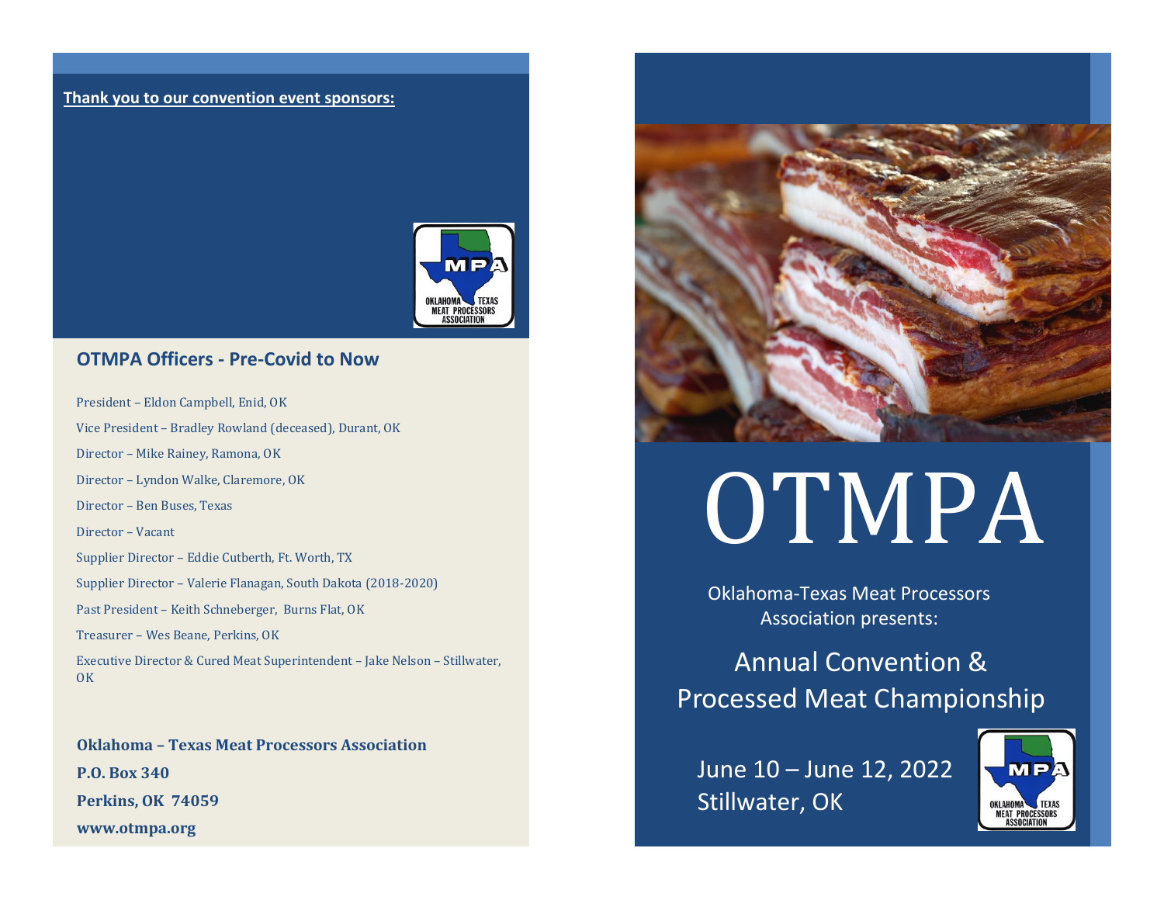#### **Thank you to our convention event sponsors:**



### **OTMPA Officers - Pre-Covid to Now**

President – Eldon Campbell, Enid, OK

Vice President – Bradley Rowland (deceased), Durant, OK

Director – Mike Rainey, Ramona, OK

Director – Lyndon Walke, Claremore, OK

Director – Ben Buses, Texas

Director – Vacant

Supplier Director – Eddie Cutberth, Ft. Worth, TX

Supplier Director – Valerie Flanagan, South Dakota (2018-2020)

Past President – Keith Schneberger, Burns Flat, OK

Treasurer – Wes Beane, Perkins, OK

Executive Director & Cured Meat Superintendent – Jake Nelson – Stillwater, OK

**Oklahoma – Texas Meat Processors Association P.O. Box 340 Perkins, OK 74059 www.otmpa.org**



# OTMPA

Oklahoma-Texas Meat Processors Association presents:

Annual Convention & Processed Meat Championship

June 10 – June 12, 2022 Stillwater, OK